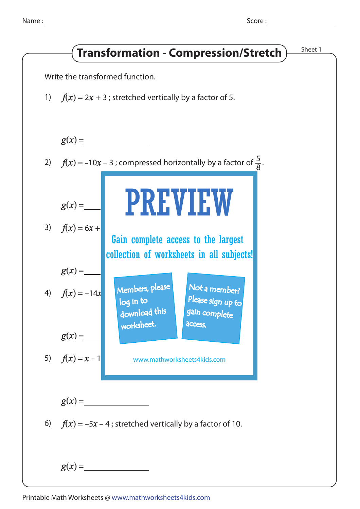